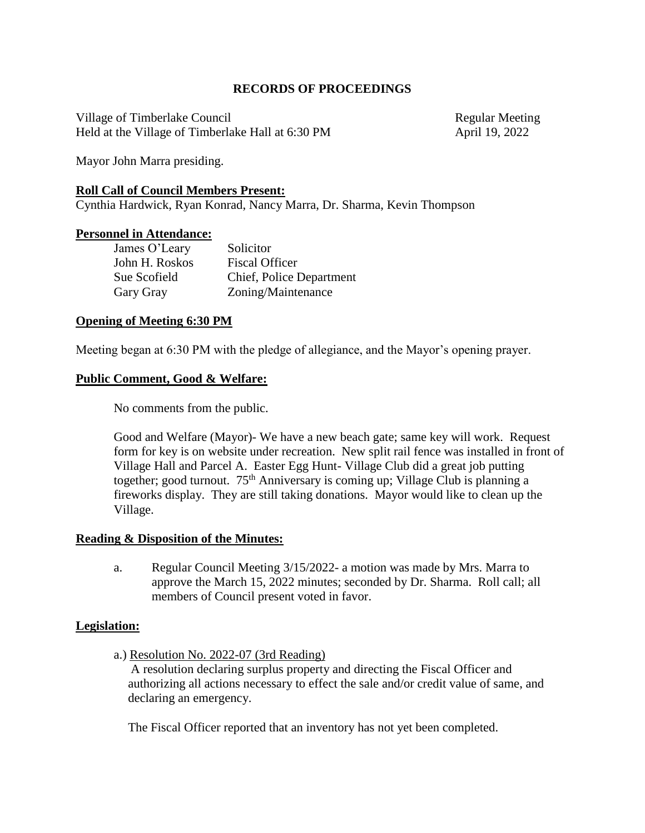## **RECORDS OF PROCEEDINGS**

Village of Timberlake Council **Regular Meeting** Regular Meeting Held at the Village of Timberlake Hall at 6:30 PM April 19, 2022

Mayor John Marra presiding.

## **Roll Call of Council Members Present:**

Cynthia Hardwick, Ryan Konrad, Nancy Marra, Dr. Sharma, Kevin Thompson

## **Personnel in Attendance:**

| James O'Leary  | Solicitor                |
|----------------|--------------------------|
| John H. Roskos | <b>Fiscal Officer</b>    |
| Sue Scofield   | Chief, Police Department |
| Gary Gray      | Zoning/Maintenance       |

## **Opening of Meeting 6:30 PM**

Meeting began at 6:30 PM with the pledge of allegiance, and the Mayor's opening prayer.

## **Public Comment, Good & Welfare:**

No comments from the public.

Good and Welfare (Mayor)- We have a new beach gate; same key will work. Request form for key is on website under recreation. New split rail fence was installed in front of Village Hall and Parcel A. Easter Egg Hunt- Village Club did a great job putting together; good turnout.  $75<sup>th</sup>$  Anniversary is coming up; Village Club is planning a fireworks display. They are still taking donations. Mayor would like to clean up the Village.

## **Reading & Disposition of the Minutes:**

a. Regular Council Meeting 3/15/2022- a motion was made by Mrs. Marra to approve the March 15, 2022 minutes; seconded by Dr. Sharma. Roll call; all members of Council present voted in favor.

# **Legislation:**

a.) Resolution No. 2022-07 (3rd Reading)

A resolution declaring surplus property and directing the Fiscal Officer and authorizing all actions necessary to effect the sale and/or credit value of same, and declaring an emergency.

The Fiscal Officer reported that an inventory has not yet been completed.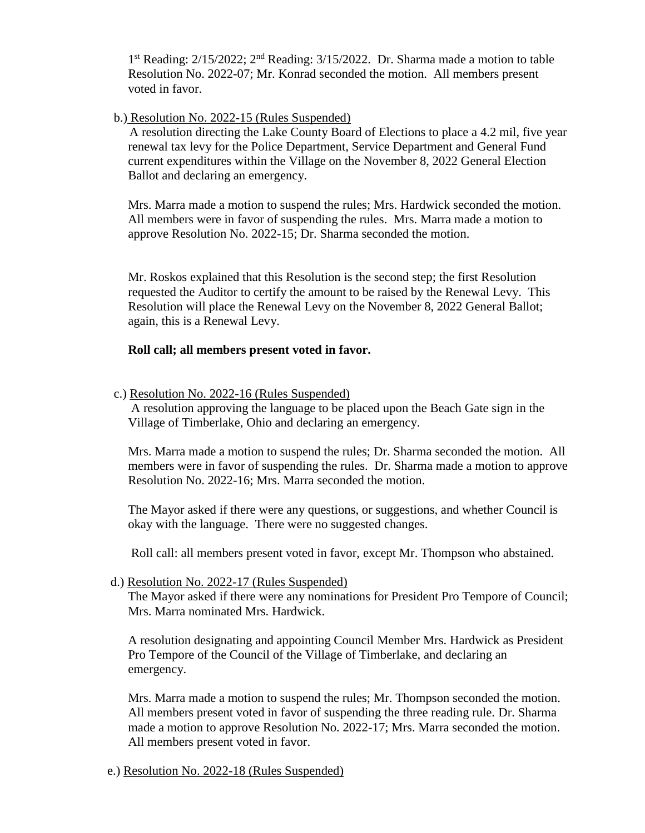1<sup>st</sup> Reading: 2/15/2022; 2<sup>nd</sup> Reading: 3/15/2022. Dr. Sharma made a motion to table Resolution No. 2022-07; Mr. Konrad seconded the motion. All members present voted in favor.

# b.) Resolution No. 2022-15 (Rules Suspended)

 A resolution directing the Lake County Board of Elections to place a 4.2 mil, five year renewal tax levy for the Police Department, Service Department and General Fund current expenditures within the Village on the November 8, 2022 General Election Ballot and declaring an emergency.

Mrs. Marra made a motion to suspend the rules; Mrs. Hardwick seconded the motion. All members were in favor of suspending the rules. Mrs. Marra made a motion to approve Resolution No. 2022-15; Dr. Sharma seconded the motion.

Mr. Roskos explained that this Resolution is the second step; the first Resolution requested the Auditor to certify the amount to be raised by the Renewal Levy. This Resolution will place the Renewal Levy on the November 8, 2022 General Ballot; again, this is a Renewal Levy.

## **Roll call; all members present voted in favor.**

## c.) Resolution No. 2022-16 (Rules Suspended)

A resolution approving the language to be placed upon the Beach Gate sign in the Village of Timberlake, Ohio and declaring an emergency.

Mrs. Marra made a motion to suspend the rules; Dr. Sharma seconded the motion. All members were in favor of suspending the rules. Dr. Sharma made a motion to approve Resolution No. 2022-16; Mrs. Marra seconded the motion.

The Mayor asked if there were any questions, or suggestions, and whether Council is okay with the language. There were no suggested changes.

Roll call: all members present voted in favor, except Mr. Thompson who abstained.

## d.) Resolution No. 2022-17 (Rules Suspended)

The Mayor asked if there were any nominations for President Pro Tempore of Council; Mrs. Marra nominated Mrs. Hardwick.

A resolution designating and appointing Council Member Mrs. Hardwick as President Pro Tempore of the Council of the Village of Timberlake, and declaring an emergency.

Mrs. Marra made a motion to suspend the rules; Mr. Thompson seconded the motion. All members present voted in favor of suspending the three reading rule. Dr. Sharma made a motion to approve Resolution No. 2022-17; Mrs. Marra seconded the motion. All members present voted in favor.

e.) Resolution No. 2022-18 (Rules Suspended)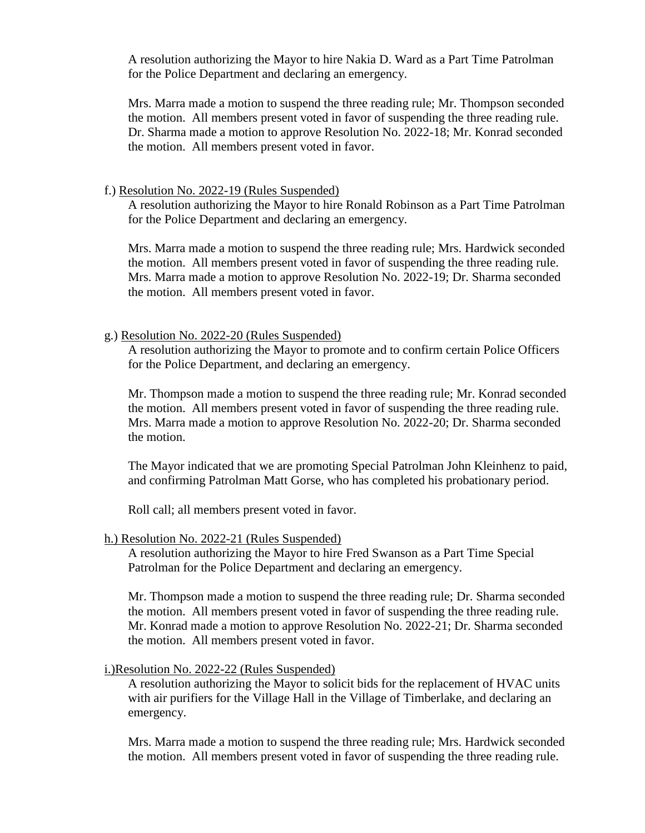A resolution authorizing the Mayor to hire Nakia D. Ward as a Part Time Patrolman for the Police Department and declaring an emergency.

Mrs. Marra made a motion to suspend the three reading rule; Mr. Thompson seconded the motion. All members present voted in favor of suspending the three reading rule. Dr. Sharma made a motion to approve Resolution No. 2022-18; Mr. Konrad seconded the motion. All members present voted in favor.

## f.) Resolution No. 2022-19 (Rules Suspended)

A resolution authorizing the Mayor to hire Ronald Robinson as a Part Time Patrolman for the Police Department and declaring an emergency.

 Mrs. Marra made a motion to suspend the three reading rule; Mrs. Hardwick seconded the motion. All members present voted in favor of suspending the three reading rule. Mrs. Marra made a motion to approve Resolution No. 2022-19; Dr. Sharma seconded the motion. All members present voted in favor.

## g.) Resolution No. 2022-20 (Rules Suspended)

A resolution authorizing the Mayor to promote and to confirm certain Police Officers for the Police Department, and declaring an emergency.

Mr. Thompson made a motion to suspend the three reading rule; Mr. Konrad seconded the motion. All members present voted in favor of suspending the three reading rule. Mrs. Marra made a motion to approve Resolution No. 2022-20; Dr. Sharma seconded the motion.

The Mayor indicated that we are promoting Special Patrolman John Kleinhenz to paid, and confirming Patrolman Matt Gorse, who has completed his probationary period.

Roll call; all members present voted in favor.

#### h.) Resolution No. 2022-21 (Rules Suspended)

A resolution authorizing the Mayor to hire Fred Swanson as a Part Time Special Patrolman for the Police Department and declaring an emergency.

Mr. Thompson made a motion to suspend the three reading rule; Dr. Sharma seconded the motion. All members present voted in favor of suspending the three reading rule. Mr. Konrad made a motion to approve Resolution No. 2022-21; Dr. Sharma seconded the motion. All members present voted in favor.

## i.)Resolution No. 2022-22 (Rules Suspended)

A resolution authorizing the Mayor to solicit bids for the replacement of HVAC units with air purifiers for the Village Hall in the Village of Timberlake, and declaring an emergency.

Mrs. Marra made a motion to suspend the three reading rule; Mrs. Hardwick seconded the motion. All members present voted in favor of suspending the three reading rule.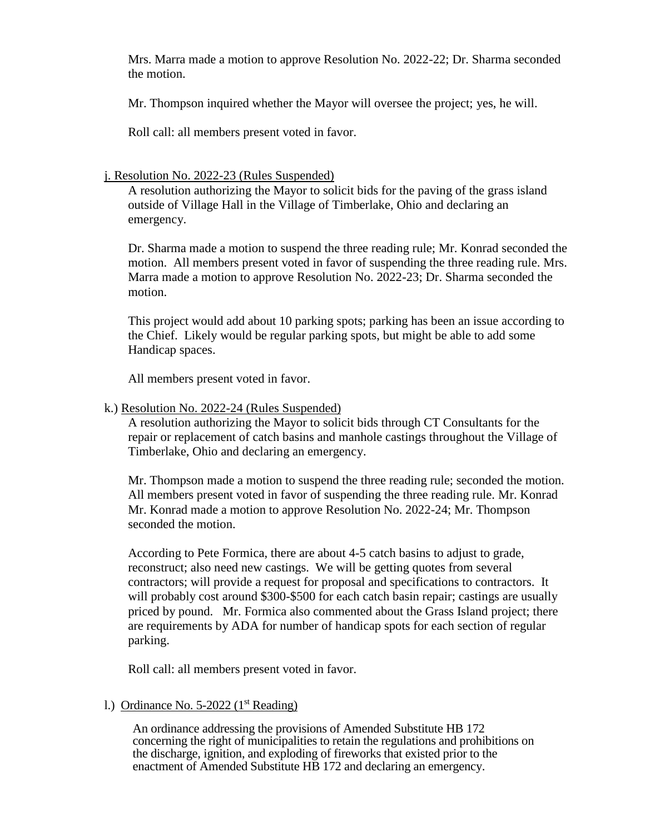Mrs. Marra made a motion to approve Resolution No. 2022-22; Dr. Sharma seconded the motion.

Mr. Thompson inquired whether the Mayor will oversee the project; yes, he will.

Roll call: all members present voted in favor.

# j. Resolution No. 2022-23 (Rules Suspended)

A resolution authorizing the Mayor to solicit bids for the paving of the grass island outside of Village Hall in the Village of Timberlake, Ohio and declaring an emergency.

Dr. Sharma made a motion to suspend the three reading rule; Mr. Konrad seconded the motion. All members present voted in favor of suspending the three reading rule. Mrs. Marra made a motion to approve Resolution No. 2022-23; Dr. Sharma seconded the motion.

This project would add about 10 parking spots; parking has been an issue according to the Chief. Likely would be regular parking spots, but might be able to add some Handicap spaces.

All members present voted in favor.

# k.) Resolution No. 2022-24 (Rules Suspended)

A resolution authorizing the Mayor to solicit bids through CT Consultants for the repair or replacement of catch basins and manhole castings throughout the Village of Timberlake, Ohio and declaring an emergency.

Mr. Thompson made a motion to suspend the three reading rule; seconded the motion. All members present voted in favor of suspending the three reading rule. Mr. Konrad Mr. Konrad made a motion to approve Resolution No. 2022-24; Mr. Thompson seconded the motion.

According to Pete Formica, there are about 4-5 catch basins to adjust to grade, reconstruct; also need new castings. We will be getting quotes from several contractors; will provide a request for proposal and specifications to contractors. It will probably cost around \$300-\$500 for each catch basin repair; castings are usually priced by pound. Mr. Formica also commented about the Grass Island project; there are requirements by ADA for number of handicap spots for each section of regular parking.

Roll call: all members present voted in favor.

# 1.) Ordinance No.  $5-2022$  ( $1<sup>st</sup>$  Reading)

An ordinance addressing the provisions of Amended Substitute HB 172 concerning the right of municipalities to retain the regulations and prohibitions on the discharge, ignition, and exploding of fireworks that existed prior to the enactment of Amended Substitute HB 172 and declaring an emergency.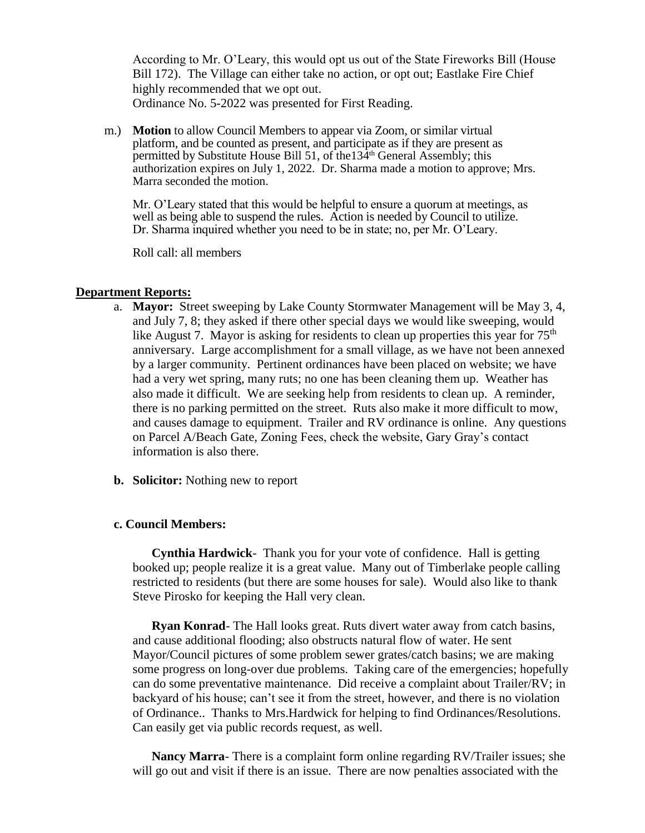According to Mr. O'Leary, this would opt us out of the State Fireworks Bill (House Bill 172). The Village can either take no action, or opt out; Eastlake Fire Chief highly recommended that we opt out. Ordinance No. 5-2022 was presented for First Reading.

m.) **Motion** to allow Council Members to appear via Zoom, or similar virtual platform, and be counted as present, and participate as if they are present as permitted by Substitute House Bill 51, of the 134<sup>th</sup> General Assembly; this authorization expires on July 1, 2022. Dr. Sharma made a motion to approve; Mrs. Marra seconded the motion.

Mr. O'Leary stated that this would be helpful to ensure a quorum at meetings, as well as being able to suspend the rules. Action is needed by Council to utilize. Dr. Sharma inquired whether you need to be in state; no, per Mr. O'Leary.

Roll call: all members

## **Department Reports:**

- a. **Mayor:** Street sweeping by Lake County Stormwater Management will be May 3, 4, and July 7, 8; they asked if there other special days we would like sweeping, would like August 7. Mayor is asking for residents to clean up properties this year for  $75<sup>th</sup>$ anniversary. Large accomplishment for a small village, as we have not been annexed by a larger community. Pertinent ordinances have been placed on website; we have had a very wet spring, many ruts; no one has been cleaning them up. Weather has also made it difficult. We are seeking help from residents to clean up. A reminder, there is no parking permitted on the street. Ruts also make it more difficult to mow, and causes damage to equipment. Trailer and RV ordinance is online. Any questions on Parcel A/Beach Gate, Zoning Fees, check the website, Gary Gray's contact information is also there.
- **b. Solicitor:** Nothing new to report

## **c. Council Members:**

**Cynthia Hardwick**- Thank you for your vote of confidence. Hall is getting booked up; people realize it is a great value. Many out of Timberlake people calling restricted to residents (but there are some houses for sale). Would also like to thank Steve Pirosko for keeping the Hall very clean.

**Ryan Konrad**- The Hall looks great. Ruts divert water away from catch basins, and cause additional flooding; also obstructs natural flow of water. He sent Mayor/Council pictures of some problem sewer grates/catch basins; we are making some progress on long-over due problems. Taking care of the emergencies; hopefully can do some preventative maintenance. Did receive a complaint about Trailer/RV; in backyard of his house; can't see it from the street, however, and there is no violation of Ordinance.. Thanks to Mrs.Hardwick for helping to find Ordinances/Resolutions. Can easily get via public records request, as well.

**Nancy Marra**- There is a complaint form online regarding RV/Trailer issues; she will go out and visit if there is an issue. There are now penalties associated with the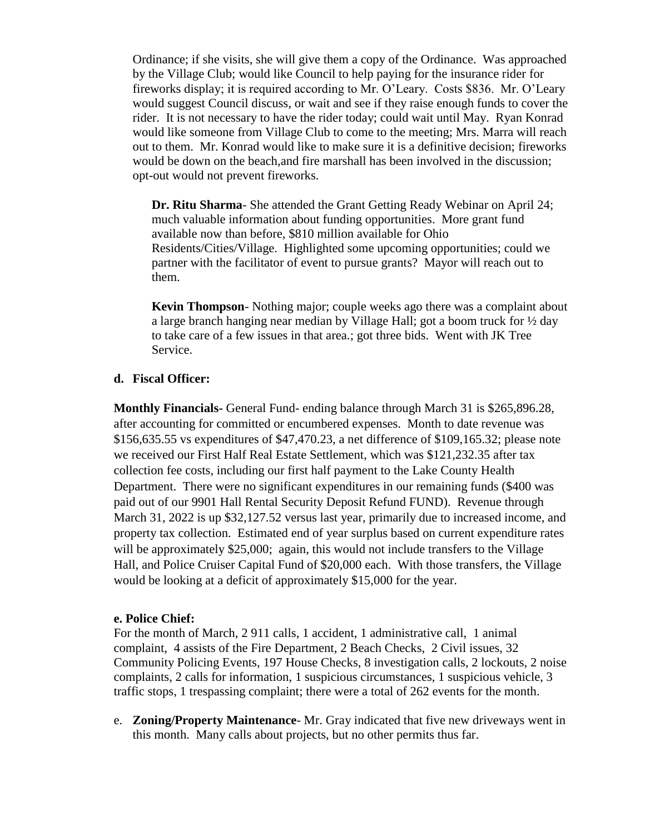Ordinance; if she visits, she will give them a copy of the Ordinance. Was approached by the Village Club; would like Council to help paying for the insurance rider for fireworks display; it is required according to Mr. O'Leary. Costs \$836. Mr. O'Leary would suggest Council discuss, or wait and see if they raise enough funds to cover the rider. It is not necessary to have the rider today; could wait until May. Ryan Konrad would like someone from Village Club to come to the meeting; Mrs. Marra will reach out to them. Mr. Konrad would like to make sure it is a definitive decision; fireworks would be down on the beach,and fire marshall has been involved in the discussion; opt-out would not prevent fireworks.

**Dr. Ritu Sharma**- She attended the Grant Getting Ready Webinar on April 24; much valuable information about funding opportunities. More grant fund available now than before, \$810 million available for Ohio Residents/Cities/Village. Highlighted some upcoming opportunities; could we partner with the facilitator of event to pursue grants? Mayor will reach out to them.

**Kevin Thompson**- Nothing major; couple weeks ago there was a complaint about a large branch hanging near median by Village Hall; got a boom truck for ½ day to take care of a few issues in that area.; got three bids. Went with JK Tree Service.

# **d. Fiscal Officer:**

**Monthly Financials-** General Fund- ending balance through March 31 is \$265,896.28, after accounting for committed or encumbered expenses. Month to date revenue was \$156,635.55 vs expenditures of \$47,470.23, a net difference of \$109,165.32; please note we received our First Half Real Estate Settlement, which was \$121,232.35 after tax collection fee costs, including our first half payment to the Lake County Health Department. There were no significant expenditures in our remaining funds (\$400 was paid out of our 9901 Hall Rental Security Deposit Refund FUND). Revenue through March 31, 2022 is up \$32,127.52 versus last year, primarily due to increased income, and property tax collection. Estimated end of year surplus based on current expenditure rates will be approximately \$25,000; again, this would not include transfers to the Village Hall, and Police Cruiser Capital Fund of \$20,000 each. With those transfers, the Village would be looking at a deficit of approximately \$15,000 for the year.

## **e. Police Chief:**

For the month of March, 2 911 calls, 1 accident, 1 administrative call, 1 animal complaint, 4 assists of the Fire Department, 2 Beach Checks, 2 Civil issues, 32 Community Policing Events, 197 House Checks, 8 investigation calls, 2 lockouts, 2 noise complaints, 2 calls for information, 1 suspicious circumstances, 1 suspicious vehicle, 3 traffic stops, 1 trespassing complaint; there were a total of 262 events for the month.

e. **Zoning/Property Maintenance**- Mr. Gray indicated that five new driveways went in this month. Many calls about projects, but no other permits thus far.